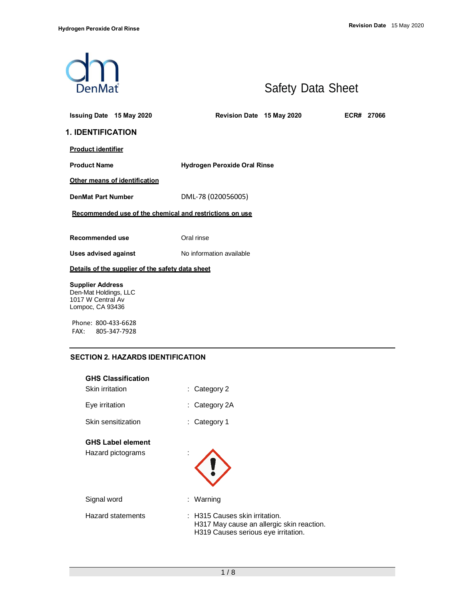

# Safety Data Sheet

| <b>1. IDENTIFICATION</b><br><b>Product identifier</b><br><b>Product Name</b><br><b>Hydrogen Peroxide Oral Rinse</b><br>Other means of identification<br>DML-78 (020056005)<br><b>DenMat Part Number</b><br>Recommended use of the chemical and restrictions on use<br>Recommended use<br>Oral rinse<br>No information available<br>Uses advised against<br>Details of the supplier of the safety data sheet<br><b>Supplier Address</b><br>Den-Mat Holdings, LLC<br>1017 W Central Av<br>Lompoc, CA 93436 | Issuing Date 15 May 2020 | Revision Date 15 May 2020 |  | ECR# 27066 |
|----------------------------------------------------------------------------------------------------------------------------------------------------------------------------------------------------------------------------------------------------------------------------------------------------------------------------------------------------------------------------------------------------------------------------------------------------------------------------------------------------------|--------------------------|---------------------------|--|------------|
|                                                                                                                                                                                                                                                                                                                                                                                                                                                                                                          |                          |                           |  |            |
|                                                                                                                                                                                                                                                                                                                                                                                                                                                                                                          |                          |                           |  |            |
|                                                                                                                                                                                                                                                                                                                                                                                                                                                                                                          |                          |                           |  |            |
|                                                                                                                                                                                                                                                                                                                                                                                                                                                                                                          |                          |                           |  |            |
|                                                                                                                                                                                                                                                                                                                                                                                                                                                                                                          |                          |                           |  |            |
|                                                                                                                                                                                                                                                                                                                                                                                                                                                                                                          |                          |                           |  |            |
|                                                                                                                                                                                                                                                                                                                                                                                                                                                                                                          |                          |                           |  |            |
|                                                                                                                                                                                                                                                                                                                                                                                                                                                                                                          |                          |                           |  |            |
|                                                                                                                                                                                                                                                                                                                                                                                                                                                                                                          |                          |                           |  |            |
|                                                                                                                                                                                                                                                                                                                                                                                                                                                                                                          |                          |                           |  |            |
|                                                                                                                                                                                                                                                                                                                                                                                                                                                                                                          |                          |                           |  |            |

Phone: 800-433-6628 FAX: 805-347-7928

# **SECTION 2. HAZARDS IDENTIFICATION**

| <b>GHS Classification</b><br>Skin irritation  | $:$ Category 2                                                                                                     |
|-----------------------------------------------|--------------------------------------------------------------------------------------------------------------------|
| Eye irritation                                | Category 2A<br>÷.                                                                                                  |
| Skin sensitization                            | Category 1<br>÷.                                                                                                   |
| <b>GHS Label element</b><br>Hazard pictograms | ä,                                                                                                                 |
| Signal word                                   | : Warning                                                                                                          |
| <b>Hazard statements</b>                      | : H315 Causes skin irritation.<br>H317 May cause an allergic skin reaction.<br>H319 Causes serious eye irritation. |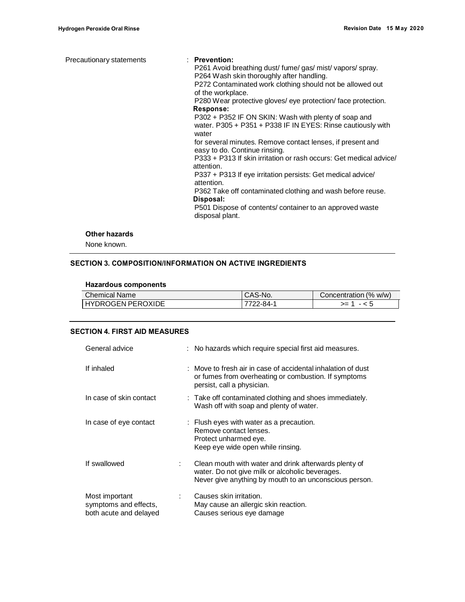| Precautionary statements | $\therefore$ Prevention:<br>P261 Avoid breathing dust/fume/gas/mist/vapors/spray.<br>P264 Wash skin thoroughly after handling.<br>P272 Contaminated work clothing should not be allowed out<br>of the workplace.<br>P280 Wear protective gloves/ eye protection/ face protection.<br>Response:<br>P302 + P352 IF ON SKIN: Wash with plenty of soap and<br>water. P305 + P351 + P338 IF IN EYES: Rinse cautiously with<br>water<br>for several minutes. Remove contact lenses, if present and<br>easy to do. Continue rinsing.<br>P333 + P313 If skin irritation or rash occurs: Get medical advice/<br>attention.<br>P337 + P313 If eye irritation persists: Get medical advice/<br>attention.<br>P362 Take off contaminated clothing and wash before reuse.<br>Disposal: |
|--------------------------|---------------------------------------------------------------------------------------------------------------------------------------------------------------------------------------------------------------------------------------------------------------------------------------------------------------------------------------------------------------------------------------------------------------------------------------------------------------------------------------------------------------------------------------------------------------------------------------------------------------------------------------------------------------------------------------------------------------------------------------------------------------------------|
|                          | P501 Dispose of contents/container to an approved waste<br>disposal plant.                                                                                                                                                                                                                                                                                                                                                                                                                                                                                                                                                                                                                                                                                                |

#### **Other hazards**

None known.

# **SECTION 3. COMPOSITION/INFORMATION ON ACTIVE INGREDIENTS**

#### **Hazardous components**

| Chemical Name            | CAS-No.  | Concentration (% w/w) |
|--------------------------|----------|-----------------------|
| <b>HYDROGEN PEROXIDE</b> | 7722-84- | $=$                   |

## **SECTION 4. FIRST AID MEASURES**

| General advice                                                    |    | : No hazards which require special first aid measures.                                                                                                             |
|-------------------------------------------------------------------|----|--------------------------------------------------------------------------------------------------------------------------------------------------------------------|
| If inhaled                                                        |    | : Move to fresh air in case of accidental inhalation of dust<br>or fumes from overheating or combustion. If symptoms<br>persist, call a physician.                 |
| In case of skin contact                                           |    | : Take off contaminated clothing and shoes immediately.<br>Wash off with soap and plenty of water.                                                                 |
| In case of eye contact                                            |    | : Flush eyes with water as a precaution.<br>Remove contact lenses.<br>Protect unharmed eye.<br>Keep eye wide open while rinsing.                                   |
| If swallowed                                                      | ÷. | Clean mouth with water and drink afterwards plenty of<br>water. Do not give milk or alcoholic beverages.<br>Never give anything by mouth to an unconscious person. |
| Most important<br>symptoms and effects,<br>both acute and delayed |    | Causes skin irritation.<br>May cause an allergic skin reaction.<br>Causes serious eye damage                                                                       |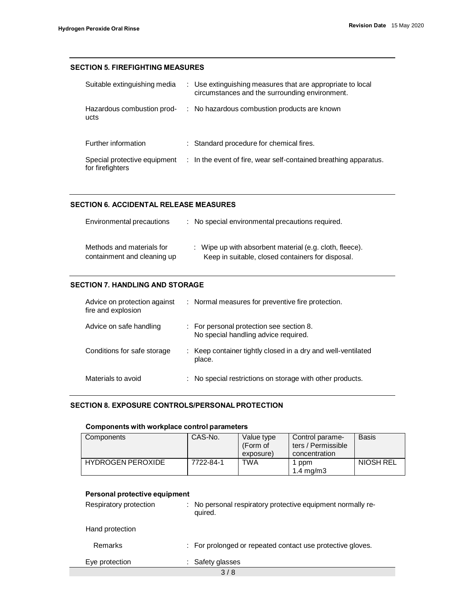## **SECTION 5. FIREFIGHTING MEASURES**

| Suitable extinguishing media                     | : Use extinguishing measures that are appropriate to local<br>circumstances and the surrounding environment. |
|--------------------------------------------------|--------------------------------------------------------------------------------------------------------------|
| Hazardous combustion prod-<br>ucts               | : No hazardous combustion products are known                                                                 |
| Further information                              | : Standard procedure for chemical fires.                                                                     |
| Special protective equipment<br>for firefighters | : In the event of fire, wear self-contained breathing apparatus.                                             |

# **SECTION 6. ACCIDENTAL RELEASE MEASURES**

| Environmental precautions   | : No special environmental precautions required.        |
|-----------------------------|---------------------------------------------------------|
| Methods and materials for   | : Wipe up with absorbent material (e.g. cloth, fleece). |
| containment and cleaning up | Keep in suitable, closed containers for disposal.       |

## **SECTION 7. HANDLING AND STORAGE**

| Advice on protection against<br>fire and explosion | : Normal measures for preventive fire protection.                                |
|----------------------------------------------------|----------------------------------------------------------------------------------|
| Advice on safe handling                            | : For personal protection see section 8.<br>No special handling advice required. |
| Conditions for safe storage                        | : Keep container tightly closed in a dry and well-ventilated<br>place.           |
| Materials to avoid                                 | No special restrictions on storage with other products.                          |

# **SECTION 8. EXPOSURE CONTROLS/PERSONALPROTECTION**

# **Components with workplace control parameters**

| Components               | CAS-No.   | Value type | Control parame-    | Basis     |
|--------------------------|-----------|------------|--------------------|-----------|
|                          |           | (Form of   | ters / Permissible |           |
|                          |           | exposure)  | concentration      |           |
| <b>HYDROGEN PEROXIDE</b> | 7722-84-1 | TWA        | l ppm              | NIOSH REL |
|                          |           |            | $1.4 \text{ mg/m}$ |           |

# **Personal protective equipment**

| Respiratory protection | : No personal respiratory protective equipment normally re-<br>quired. |
|------------------------|------------------------------------------------------------------------|
| Hand protection        |                                                                        |
| Remarks                | : For prolonged or repeated contact use protective gloves.             |
| Eye protection         | : Safety glasses                                                       |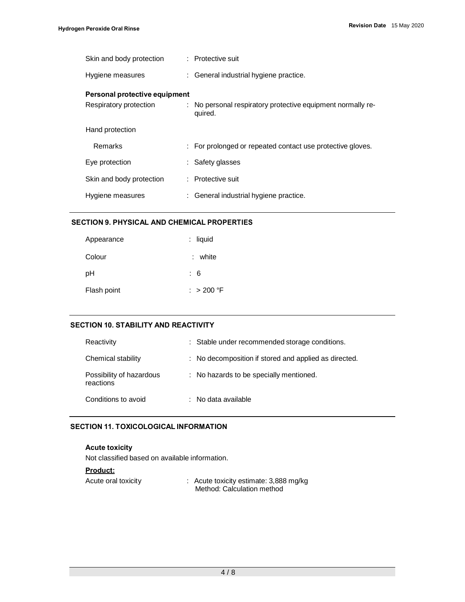| Skin and body protection                                | : Protective suit                                                      |
|---------------------------------------------------------|------------------------------------------------------------------------|
| Hygiene measures                                        | : General industrial hygiene practice.                                 |
| Personal protective equipment<br>Respiratory protection | : No personal respiratory protective equipment normally re-<br>quired. |
| Hand protection                                         |                                                                        |
| Remarks                                                 | : For prolonged or repeated contact use protective gloves.             |
| Eye protection                                          | : Safety glasses                                                       |
| Skin and body protection                                | : Protective suit                                                      |
| Hygiene measures                                        | : General industrial hygiene practice.                                 |
|                                                         |                                                                        |

## **SECTION 9. PHYSICAL AND CHEMICAL PROPERTIES**

| Appearance  | $:$ liquid  |
|-------------|-------------|
| Colour      | $:$ white   |
| рH          | : 6         |
| Flash point | : $>200$ °F |

#### **SECTION 10. STABILITY AND REACTIVITY**

| Reactivity                            | : Stable under recommended storage conditions.        |
|---------------------------------------|-------------------------------------------------------|
| Chemical stability                    | : No decomposition if stored and applied as directed. |
| Possibility of hazardous<br>reactions | : No hazards to be specially mentioned.               |
| Conditions to avoid                   | $\therefore$ No data available                        |

## **SECTION 11. TOXICOLOGICAL INFORMATION**

# **Acute toxicity**

Not classified based on available information.

**Product:**

| Acute oral toxicity | : Acute toxicity estimate: 3,888 mg/kg |  |  |  |  |
|---------------------|----------------------------------------|--|--|--|--|
|                     | Method: Calculation method             |  |  |  |  |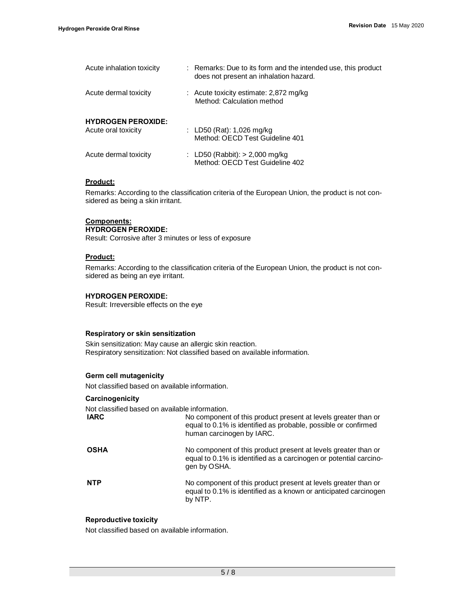| Acute inhalation toxicity                        | : Remarks: Due to its form and the intended use, this product<br>does not present an inhalation hazard. |
|--------------------------------------------------|---------------------------------------------------------------------------------------------------------|
| Acute dermal toxicity                            | : Acute toxicity estimate: 2,872 mg/kg<br>Method: Calculation method                                    |
| <b>HYDROGEN PEROXIDE:</b><br>Acute oral toxicity | : LD50 (Rat): 1,026 mg/kg<br>Method: OECD Test Guideline 401                                            |
| Acute dermal toxicity                            | : LD50 (Rabbit): $> 2,000$ mg/kg<br>Method: OECD Test Guideline 402                                     |

#### **Product:**

Remarks: According to the classification criteria of the European Union, the product is not considered as being a skin irritant.

#### **Components: HYDROGEN PEROXIDE:**

Result: Corrosive after 3 minutes or less of exposure

## **Product:**

Remarks: According to the classification criteria of the European Union, the product is not considered as being an eye irritant.

#### **HYDROGEN PEROXIDE:**

Result: Irreversible effects on the eye

#### **Respiratory or skin sensitization**

Skin sensitization: May cause an allergic skin reaction. Respiratory sensitization: Not classified based on available information.

## **Germ cell mutagenicity**

Not classified based on available information.

#### **Carcinogenicity**

Not classified based on available information.

| <b>IARC</b> | No component of this product present at levels greater than or<br>equal to 0.1% is identified as probable, possible or confirmed<br>human carcinogen by IARC. |
|-------------|---------------------------------------------------------------------------------------------------------------------------------------------------------------|
| <b>OSHA</b> | No component of this product present at levels greater than or<br>equal to 0.1% is identified as a carcinogen or potential carcino-<br>gen by OSHA.           |
| <b>NTP</b>  | No component of this product present at levels greater than or<br>equal to 0.1% is identified as a known or anticipated carcinogen<br>by NTP.                 |

#### **Reproductive toxicity**

Not classified based on available information.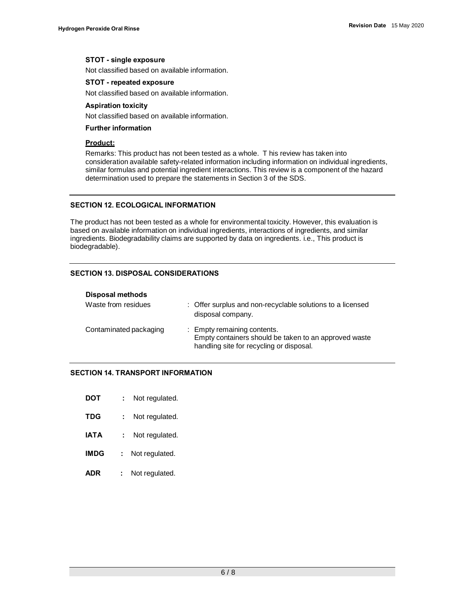#### **STOT - single exposure**

Not classified based on available information.

#### **STOT - repeated exposure**

Not classified based on available information.

#### **Aspiration toxicity**

Not classified based on available information.

#### **Further information**

#### **Product:**

Remarks: This product has not been tested as a whole. T his review has taken into consideration available safety-related information including information on individual ingredients, similar formulas and potential ingredient interactions. This review is a component of the hazard determination used to prepare the statements in Section 3 of the SDS.

## **SECTION 12. ECOLOGICAL INFORMATION**

The product has not been tested as a whole for environmental toxicity. However, this evaluation is based on available information on individual ingredients, interactions of ingredients, and similar ingredients. Biodegradability claims are supported by data on ingredients. i.e., This product is biodegradable).

#### **SECTION 13. DISPOSAL CONSIDERATIONS**

| <b>Disposal methods</b> |                                                                                                                                  |
|-------------------------|----------------------------------------------------------------------------------------------------------------------------------|
| Waste from residues     | : Offer surplus and non-recyclable solutions to a licensed<br>disposal company.                                                  |
| Contaminated packaging  | : Empty remaining contents.<br>Empty containers should be taken to an approved waste<br>handling site for recycling or disposal. |

## **SECTION 14. TRANSPORT INFORMATION**

| DOT | Not regulated. |
|-----|----------------|
|-----|----------------|

- **TDG :** Not regulated.
- **IATA : Not regulated.**
- **IMDG :** Not regulated.
- **ADR :** Not regulated.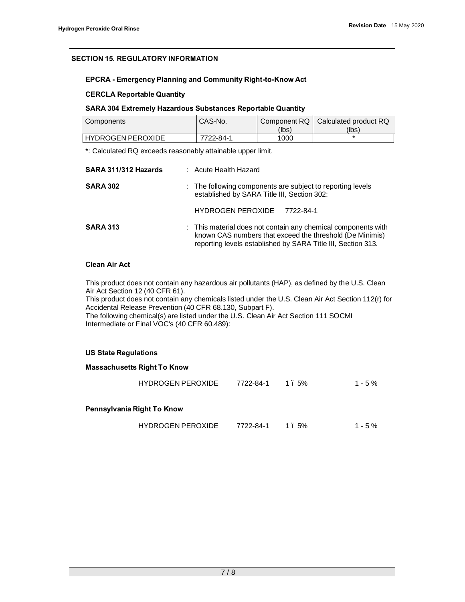# **SECTION 15. REGULATORY INFORMATION**

## **EPCRA - Emergency Planning and Community Right-to-Know Act**

## **CERCLA Reportable Quantity**

## **SARA 304 Extremely Hazardous Substances Reportable Quantity**

| Components               | CAS-No.   |       | Component RQ   Calculated product RQ |  |
|--------------------------|-----------|-------|--------------------------------------|--|
|                          |           | (lbs) | (lbs)                                |  |
| <b>HYDROGEN PEROXIDE</b> | 7722-84-1 | 1000  |                                      |  |

\*: Calculated RQ exceeds reasonably attainable upper limit.

| SARA 311/312 Hazards | : Acute Health Hazard                                                                                                                                                                     |  |
|----------------------|-------------------------------------------------------------------------------------------------------------------------------------------------------------------------------------------|--|
| <b>SARA 302</b>      | : The following components are subject to reporting levels<br>established by SARA Title III, Section 302:                                                                                 |  |
|                      | <b>HYDROGEN PEROXIDE</b><br>7722-84-1                                                                                                                                                     |  |
| <b>SARA 313</b>      | : This material does not contain any chemical components with<br>known CAS numbers that exceed the threshold (De Minimis)<br>reporting levels established by SARA Title III, Section 313. |  |

# **Clean Air Act**

This product does not contain any hazardous air pollutants (HAP), as defined by the U.S. Clean Air Act Section 12 (40 CFR 61). This product does not contain any chemicals listed under the U.S. Clean Air Act Section 112(r) for Accidental Release Prevention (40 CFR 68.130, Subpart F).

The following chemical(s) are listed under the U.S. Clean Air Act Section 111 SOCMI Intermediate or Final VOC's (40 CFR 60.489):

#### **US State Regulations**

|                            | <b>Massachusetts Right To Know</b> |           |      |           |  |
|----------------------------|------------------------------------|-----------|------|-----------|--|
|                            | <b>HYDROGEN PEROXIDE</b>           | 7722-84-1 | 1.5% | $1 - 5\%$ |  |
| Pennsylvania Right To Know |                                    |           |      |           |  |
|                            |                                    |           |      |           |  |